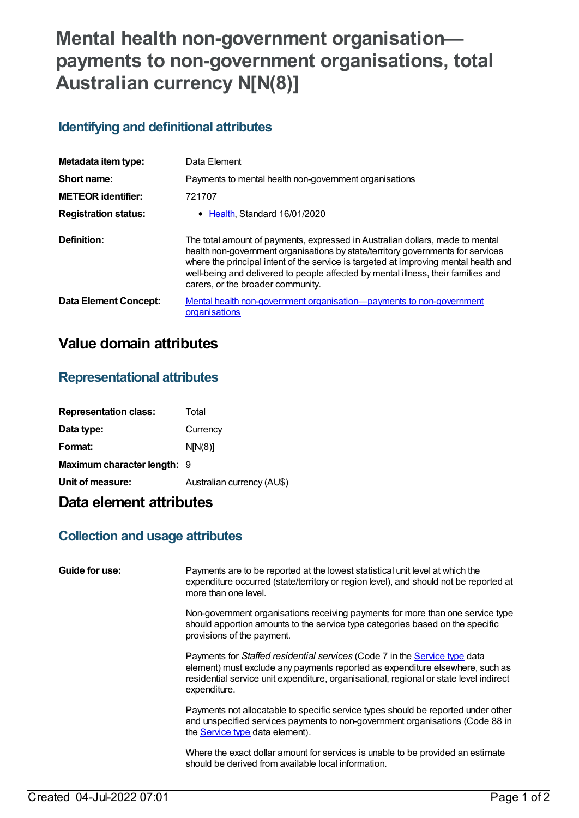# **Mental health non-government organisation payments to non-government organisations, total Australian currency N[N(8)]**

#### **Identifying and definitional attributes**

| Metadata item type:         | Data Element                                                                                                                                                                                                                                                                                                                                                                       |
|-----------------------------|------------------------------------------------------------------------------------------------------------------------------------------------------------------------------------------------------------------------------------------------------------------------------------------------------------------------------------------------------------------------------------|
| Short name:                 | Payments to mental health non-government organisations                                                                                                                                                                                                                                                                                                                             |
| <b>METEOR identifier:</b>   | 721707                                                                                                                                                                                                                                                                                                                                                                             |
| <b>Registration status:</b> | • Health, Standard 16/01/2020                                                                                                                                                                                                                                                                                                                                                      |
| Definition:                 | The total amount of payments, expressed in Australian dollars, made to mental<br>health non-government organisations by state/territory governments for services<br>where the principal intent of the service is targeted at improving mental health and<br>well-being and delivered to people affected by mental illness, their families and<br>carers, or the broader community. |
| Data Element Concept:       | Mental health non-government organisation-payments to non-government<br>organisations                                                                                                                                                                                                                                                                                              |

### **Value domain attributes**

#### **Representational attributes**

| <b>Representation class:</b> | Total                      |
|------------------------------|----------------------------|
| Data type:                   | Currency                   |
| Format:                      | N[N(8)]                    |
| Maximum character length: 9  |                            |
| Unit of measure:             | Australian currency (AU\$) |
|                              |                            |

## **Data element attributes**

#### **Collection and usage attributes**

| Guide for use: | Payments are to be reported at the lowest statistical unit level at which the<br>expenditure occurred (state/territory or region level), and should not be reported at<br>more than one level.                                                                        |
|----------------|-----------------------------------------------------------------------------------------------------------------------------------------------------------------------------------------------------------------------------------------------------------------------|
|                | Non-government organisations receiving payments for more than one service type<br>should apportion amounts to the service type categories based on the specific<br>provisions of the payment.                                                                         |
|                | Payments for Staffed residential services (Code 7 in the Service type data<br>element) must exclude any payments reported as expenditure elsewhere, such as<br>residential service unit expenditure, organisational, regional or state level indirect<br>expenditure. |
|                | Payments not allocatable to specific service types should be reported under other<br>and unspecified services payments to non-government organisations (Code 88 in<br>the <b>Service type</b> data element).                                                          |
|                | Where the exact dollar amount for services is unable to be provided an estimate<br>should be derived from available local information.                                                                                                                                |